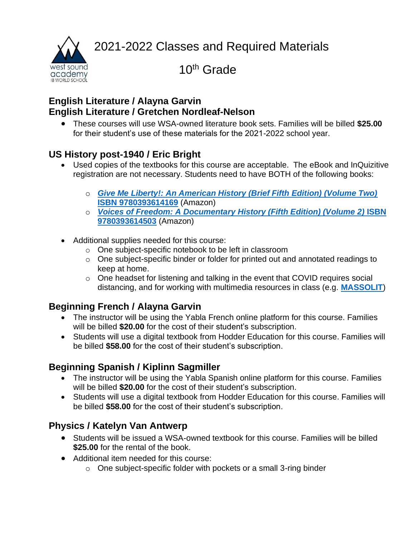2021-2022 Classes and Required Materials



10th Grade

#### **English Literature / Alayna Garvin English Literature / Gretchen Nordleaf-Nelson**

• These courses will use WSA-owned literature book sets. Families will be billed **\$25.00** for their student's use of these materials for the 2021-2022 school year.

### **US History post-1940 / Eric Bright**

- Used copies of the textbooks for this course are acceptable. The eBook and InQuizitive registration are not necessary. Students need to have BOTH of the following books:
	- o *[Give Me Liberty!: An American History \(Brief Fifth Edition\) \(Volume Two\)](https://smile.amazon.com/gp/offer-listing/0393614166/ref=olp_f_used?ie=UTF8&f_new=true)*  **[ISBN 9780393614169](https://smile.amazon.com/gp/offer-listing/0393614166/ref=olp_f_used?ie=UTF8&f_new=true)** (Amazon)
	- o *[Voices of Freedom: A Documentary History \(Fifth Edition\) \(Volume 2\)](https://smile.amazon.com/gp/offer-listing/0393614506/ref=dp_olp_new?ie=UTF8&condition=new)* **ISBN [9780393614503](https://smile.amazon.com/gp/offer-listing/0393614506/ref=dp_olp_new?ie=UTF8&condition=new)** (Amazon)
- Additional supplies needed for this course:
	- o One subject-specific notebook to be left in classroom
	- o One subject-specific binder or folder for printed out and annotated readings to keep at home.
	- o One headset for listening and talking in the event that COVID requires social distancing, and for working with multimedia resources in class (e.g. **[MASSOLIT](https://massolit.io/)**)

# **Beginning French / Alayna Garvin**

- The instructor will be using the Yabla French online platform for this course. Families will be billed **\$20.00** for the cost of their student's subscription.
- Students will use a digital textbook from Hodder Education for this course. Families will be billed **\$58.00** for the cost of their student's subscription.

## **Beginning Spanish / Kiplinn Sagmiller**

- The instructor will be using the Yabla Spanish online platform for this course. Families will be billed **\$20.00** for the cost of their student's subscription.
- Students will use a digital textbook from Hodder Education for this course. Families will be billed **\$58.00** for the cost of their student's subscription.

## **Physics / Katelyn Van Antwerp**

- Students will be issued a WSA-owned textbook for this course. Families will be billed **\$25.00** for the rental of the book.
- Additional item needed for this course:
	- o One subject-specific folder with pockets or a small 3-ring binder